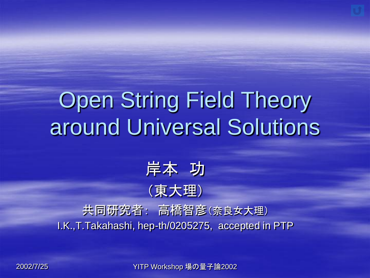# Open String Field Theory around Universal Solutions



共同研究者: 高橋智彦(奈良女大理) I.K.,T.Takahashi, hep-th/0205275, accepted in PTP

|2002/7/25 YITP Workshop 場の量子論2002|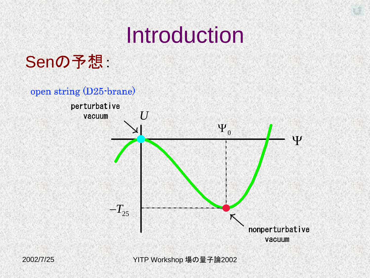# Introduction

### Senの予想:



<span id="page-1-0"></span>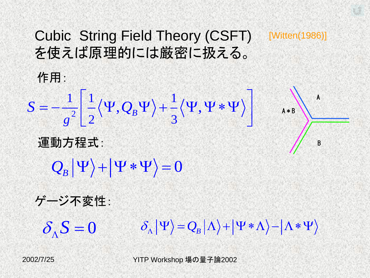#### Cubic String Field Theory (CSFT) を使えば原理的には厳密に扱える。

### [Witten(1986)]



 $\delta_{\Lambda} |\Psi\rangle = Q_B |\Lambda\rangle + |\Psi * \Lambda\rangle - |\Lambda * \Psi\rangle$ 

*g*

作用:

 $\delta_{\Lambda} S = 0$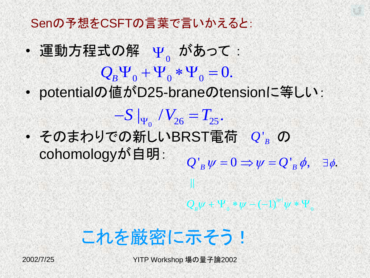Senの予想をCSFTの言葉で言いかえると:

- ・ 運動方程式の解  $\Psi_{0}$  があって : $\frac{1}{2}Q_{B}W_{0} + \Psi_{0} * \Psi_{0} = 0.$  $Q_{B} \Psi_{0} + \Psi_{0} * \Psi_{0} = 0.$
- potentialの値がD25-braneのtensionに等しい:
- $\bullet$  [そのまわりでの](#page-1-0)新しいBRST電荷  $\left\langle Q\right\rangle_B$  の cohomologyが自明:  $-S \vert_{\Psi_0} / V_{26} = T_{25}.$  $Q'_{B} \psi = 0 \Rightarrow \psi = Q'_{B} \phi, \quad \exists \phi.$ 
	- $Q_{B}\psi + \Psi_{0} * \psi (-1)^{|\psi|}\psi * \Psi_{0}$  ${}_{y}\psi +\Psi_{_{0}}*\psi -(-1)^{|\psi|}\psi * \Psi_{_{0}}$ Ï

# これを厳密に示そう!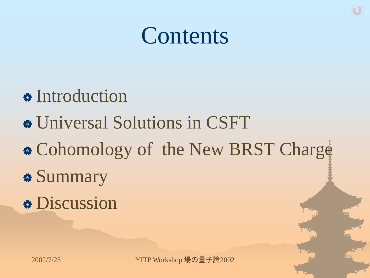# **Contents**

- **[Introduction](#page-1-0)**
- [Universal Solutions in CSFT](#page-5-0)
- [Cohomology of the New BRST Charge](#page-12-0)
- [Summary](#page-24-0)
- **[Discussion](#page-25-0)**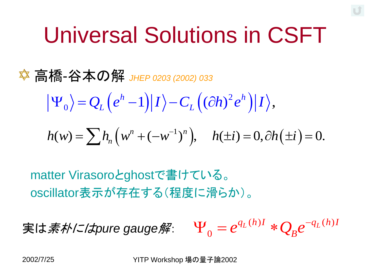# Universal Solutions in CSFT

高橋-谷本の解 *JHEP 0203 (2002) 033*

$$
|\P\hat{\mathbf{a}} - \hat{\mathbf{A}} \mathbf{\Phi} \mathbf{D}\mathbf{\mathcal{H}}| \text{ Here } 0203 (2002) \text{ } 033
$$
\n
$$
|\Psi_0\rangle = Q_L (e^h - 1)|I\rangle - C_L ((\partial h)^2 e^h)|I\rangle,
$$

$$
\begin{aligned} \n|\Psi_0\rangle &= \mathcal{Q}_L \left( e^{v} - 1 \right) |I\rangle - C_L \left( \left( \mathcal{O} h \right)^{-} e^{v} \right) |I\rangle, \\ \nh(w) &= \sum h_n \left( w^n + (-w^{-1})^n \right), \quad h(\pm i) = 0, \partial h(\pm i) = 0. \n\end{aligned}
$$

matter Virasoroとghostで書けている。 oscillator表示が存在する(程度に滑らか)。

<span id="page-5-0"></span>実は素朴には*pure gauge*解:  $(h)I \ast Q^{-q_L(h)}$ 0  $q_L(h)I \ast Q \cdot e^{-q_L(h)I}$  $\Psi_0 = e^{q_L(h)I} * Q_B e^{-\frac{1}{2}I}$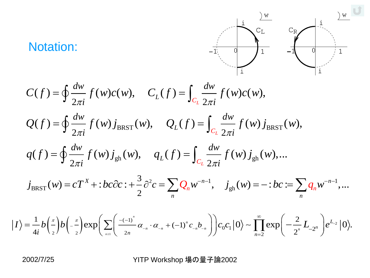#### Notation:



Notation:  
\n
$$
C(f) = \oint \frac{dw}{2\pi i} f(w)c(w), \quad C_L(f) = \int_{C_L} \frac{dw}{2\pi i} f(w)c(w),
$$
\n
$$
Q(f) = \oint \frac{dw}{2\pi i} f(w) j_{BRST}(w), \quad Q_L(f) = \int_{C_L} \frac{dw}{2\pi i} f(w) j_{BRST}(w),
$$
\n
$$
q(f) = \oint \frac{dw}{2\pi i} f(w) j_{gh}(w), \quad q_L(f) = \int_{C_L} \frac{dw}{2\pi i} f(w) j_{gh}(w),...
$$
\n
$$
j_{BRST}(w) = cT^X + :bc\partial c : + \frac{3}{2}\partial^2 c = \sum_n Q_n w^{-n-1}, \quad j_{gh}(w) = -:bc := \sum_n q_n w^{-n-1},...
$$
\n
$$
I = \frac{1}{4i}b\left(\frac{x}{2}\right)b\left(-\frac{x}{2}\right)\exp\left(\sum_{n=1}^{\infty}\left(\frac{-(-1)^n}{2n}\alpha_n \cdot \alpha_{-n} + (-1)^n c_{-n}\beta_{-n}\right)\right)c_0c_1|0\rangle \sim \prod_{n=2}^{\infty}\exp\left(-\frac{2}{2^n}L_{-2^n}\right)e^{L_2}|0\rangle.
$$
\n2002/7/25 \nYITP Workshop \$g\_0 \equiv \frac{2}{3}\pi i \approx 0.227/25

$$
I = \frac{1}{4i}b\left(\frac{\pi}{2}\right)b\left(-\frac{\pi}{2}\right)\exp\left(\sum_{n\geq 1}\left(\frac{-(-1)^n}{2n}\alpha_{-n}\cdot\alpha_{-n}+(-1)^n c_{-n}b_{-n}\right)\right)c_0c_1|0\rangle - \prod_{n=2}^{\infty}\exp\left(-\frac{2}{2^n}L_{-2^n}\right)e^{L_{-2}}|0\rangle.
$$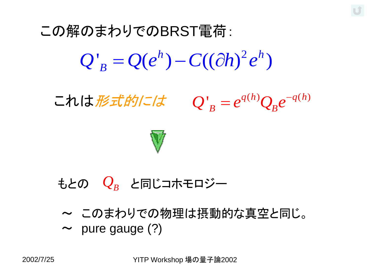2  $Q'_{B} = Q(e^{h}) - C((\partial h)^{2} e^{h})$ この解のまわりでのBRST電荷:

 $\int_{a}^{b}$   $\int_{a}^{q(h)}$   $\int_{a}^{q(h)}$  $Q'_{B} = e^{q(h)} Q_{B} e^{-q(h)}$ これは*形式的には* 



### もとの  $\mathcal{Q}_{B}$  と同じコホモロジー

<span id="page-7-0"></span>~ このまわりでの物理は摂動的な真空と同じ。  $\sim$  [pure gauge](#page-5-0) (?)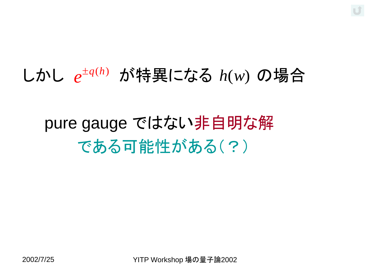### しかし  $e^{\pm q(h)}$  が特異になる h(w) の場合

## pure gauge ではない非自明な解 である可能性がある(?)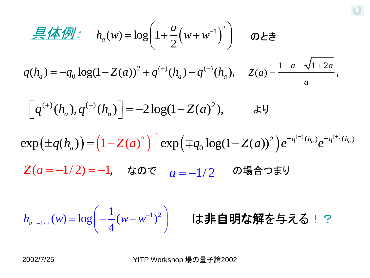$$
\underline{B}(\underline{k\#M})\colon h_a(w) = \log\left(1 + \frac{a}{2}(w + w^{-1})^2\right) \quad \text{and} \quad \Delta \equiv 0
$$
\n
$$
q(h_a) = -q_0 \log(1 - Z(a))^2 + q^{(+)}(h_a) + q^{(-)}(h_a), \quad Z(a) = \frac{1 + a - \sqrt{1 + 2a}}{a},
$$
\n
$$
\left[q^{(+)}(h_a), q^{(-)}(h_a)\right] = -2\log(1 - Z(a)^2), \qquad \forall y
$$
\n
$$
\exp\left(\pm q(h_a)\right) = \left(1 - Z(a)^2\right)^{-1} \exp\left(\mp q_0 \log(1 - Z(a))^2\right) e^{\pm q^{(-)}(h_a)} e^{\pm q^{(+)}(h_a)}
$$
\n
$$
Z(a = -1/2) = -1, \quad \forall x \in \mathbb{R}, a = -1/2 \quad \text{and} \quad \Delta \equiv 0
$$

$$
h_{a=-1/2}(w) = \log\left(-\frac{1}{4}(w-w^{-1})^2\right) \qquad \text{(1) = 100 (1) = 1000 (1) = 1000}
$$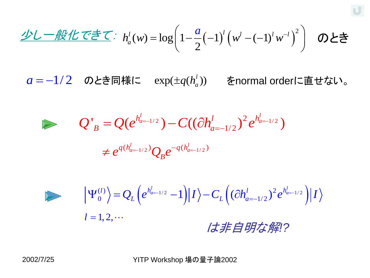$$
\underline{\mathscr{W}} - \underline{\mathscr{W}} \underline{\mathscr{W}} \, \overline{\mathscr{C}} \, \underline{\mathscr{F}} \, \underline{\mathscr{F}} \, \underline{\mathscr{F}} \, \underline{\mathscr{F}} \, h_a^l(w) = \log \bigg( 1 - \frac{a}{2} \big( -1 \big)^l \big( w^l - (-1)^l w^{-l} \big)^2 \bigg) \quad \textcircled{1} \, \underline{\mathscr{F}} \, \underline{\mathscr{F}}
$$

 $a = -1/2$  のとき同様に  $\exp(\pm q(h_a^l))$  をnormal orderに直せない。  $\pm q (h_a^l$ 

$$
Q'_{B} = Q(e^{h_{a=-1/2}^{l}}) - C((\partial h_{a=-1/2}^{l})^{2} e^{h_{a=-1/2}^{l}})
$$
  

$$
\neq e^{q(h_{a=-1/2}^{l})} Q_{B} e^{-q(h_{a=-1/2}^{l})}
$$

$$
\left| \Psi_0^{(l)} \right\rangle = Q_L \left( e^{h_{a=-1/2}^l} - 1 \right) \left| I \right\rangle - C_L \left( \left( \partial h_{a=-1/2}^l \right)^2 e^{h_{a=-1/2}^l} \right) \left| I \right\rangle
$$
  
  $l = 1, 2, \cdots$   $\left| \mathcal{J} \right| \neq \hat{H} \oplus \mathcal{H} \downarrow \hat{H}^2$ 

þ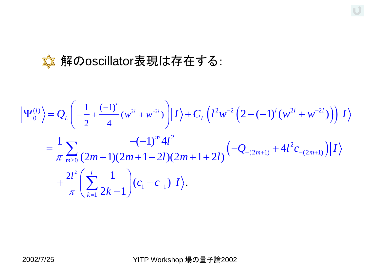#### ☆ 解のoscillator表現は存在する:

<span id="page-11-0"></span>
$$
\begin{split}\n\left| \Psi_{0}^{(l)} \right\rangle &= Q_{L} \left( -\frac{1}{2} + \frac{(-1)^{l}}{4} (w^{2l} + w^{2l}) \right) \left| I \right\rangle + C_{L} \left( l^{2} w^{-2} \left( 2 - (-1)^{l} (w^{2l} + w^{-2l}) \right) \right) \left| I \right\rangle \\
&= \frac{1}{\pi} \sum_{m \geq 0} \frac{-(-1)^{m} 4l^{2}}{(2m+1)(2m+1-2l)(2m+1+2l)} \left( -Q_{-(2m+1)} + 4l^{2} c_{-(2m+1)} \right) \left| I \right\rangle \\
&+ \frac{2l^{2}}{\pi} \left( \sum_{k=1}^{l} \frac{1}{2k-1} \right) (c_{1} - c_{-1}) \left| I \right\rangle.\n\end{split}
$$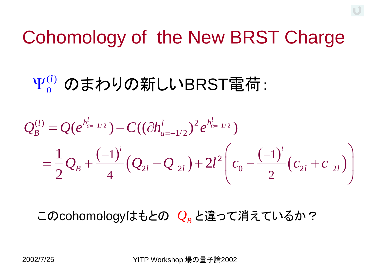## Cohomology of the New BRST Charge

#### $_0^{(l)}$  のまわりの新しいBRST電荷: 0  $\Psi_0^{(l)}$

$$
Q_B^{(l)} = Q(e^{h_{a=-1/2}^l}) - C((\partial h_{a=-1/2}^l)^2 e^{h_{a=-1/2}^l})
$$
  
=  $\frac{1}{2}Q_B + \frac{(-1)^l}{4}(Q_{2l} + Q_{-2l}) + 2l^2(c_0 - \frac{(-1)^l}{2}(c_{2l} + c_{-2l}))$ 

<span id="page-12-0"></span>このcohomologyはもとの  $Q_{\scriptscriptstyle B}$ と違って消えているか?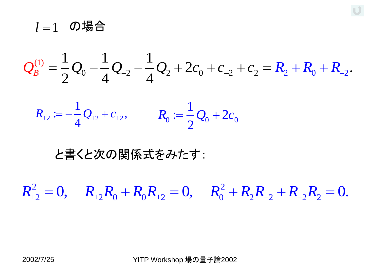$l = 1$  の場合

2002/7/25 YITP Workshop 場の量子論<sup>2002</sup> 0 2 2 0 2 1 2 ( 2 ) 2 0 1 1 1 2 . 2 4 4 *QB Q Q Q c c <sup>c</sup> R R <sup>R</sup>*

$$
R_{\pm 2} := -\frac{1}{4} Q_{\pm 2} + c_{\pm 2}, \qquad R_0 := \frac{1}{2} Q_0 + 2c_0
$$

#### と書くと次の関係式をみたす:

 $R_{12}^2 = 0$ ,  $R_{12}R_0 + R_0R_{12} = 0$ ,  $R_2^2$ と書くと次の関係式をみたす<br>  $R_{\pm 2}^2 = 0$ ,  $R_{\pm 2}R_0 + R_0R_{\pm 2} = 0$ ,  $R_0^2 + R_2R_{-2} + R_{-2}R_2 = 0$ .

<span id="page-13-0"></span>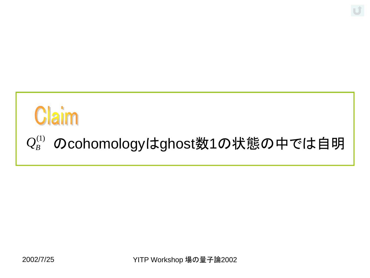# **Claim**  $\mathcal{Q}_{B}^{(1)}$  のcohomologyはghost数1の状態の中では自明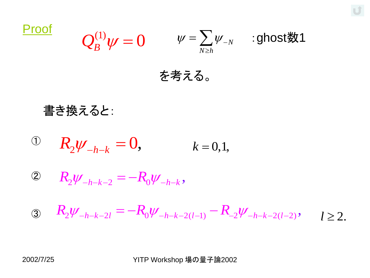

$$
Q_B^{(1)}\psi=0 \qquad \psi=\sum_{N\ge h}\psi_{-N} \quad \text{ :ghost\&1}
$$

を考える。

書き換えると:

<sup>①</sup>  $R_2 \psi_{-h-k} = 0$ ,

2 
$$
R_2 \psi_{-h-k-2} = -R_0 \psi_{-h-k}
$$
,

 $R_2 \psi_{-h-k} = 0, \qquad k = 0, 1,$ <br>  $R_2 \psi_{-h-k-2} = -R_0 \psi_{-h-k},$ <br>  $R_2 \psi_{-h-k-2l} = -R_0 \psi_{-h-k-2(l-1)} - R_{-2} \psi_{-h-k-2(l-2)}, \qquad l \ge 2.$ ③

<span id="page-15-0"></span>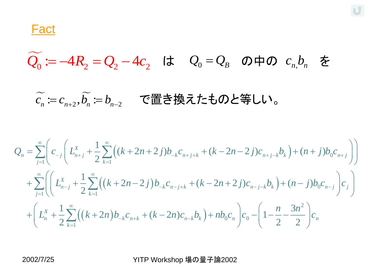**Fact** 

$$
\widetilde{Q_0} := -4R_2 = Q_2 - 4c_2 \quad \text{is} \quad Q_0 = Q_B \quad \text{or} \quad c_n b_n \quad \text{at}
$$

$$
\widetilde{c_n} := c_{n+2}, \widetilde{b_n} := b_{n-2}
$$
で置き換えたものと等しい。

$$
\widetilde{c_n} := c_{n+2}, \widetilde{b_n} := b_{n-2} \qquad \mathbf{C} \mathbf{E} \mathbf{B} \mathbf{B} \mathbf{A} \mathbf{L} \mathbf{A} \mathbf{D} \mathbf{B} \mathbf{B} \mathbf{L} \mathbf{U} \mathbf{V} \mathbf{S}
$$
\n
$$
Q_n = \sum_{j=1}^{\infty} \left( c_{-j} \left( L_{n+j}^X + \frac{1}{2} \sum_{k=1}^{\infty} \left( (k+2n+2j) b_{-k} c_{n+j+k} + (k-2n-2j) c_{n+j-k} b_k \right) + (n+j) b_0 c_{n+j} \right) \right)
$$
\n
$$
+ \sum_{j=1}^{\infty} \left( \left( L_{n-j}^X + \frac{1}{2} \sum_{k=1}^{\infty} \left( (k+2n-2j) b_{-k} c_{n-j+k} + (k-2n+2j) c_{n-j-k} b_k \right) + (n-j) b_0 c_{n-j} \right) c_j \right)
$$
\n
$$
+ \left( L_n^X + \frac{1}{2} \sum_{k=1}^{\infty} \left( (k+2n) b_{-k} c_{n+k} + (k-2n) c_{n-k} b_k \right) + nb_0 c_n \right) c_0 - \left( 1 - \frac{n}{2} - \frac{3n^2}{2} \right) c_n
$$

<span id="page-16-0"></span>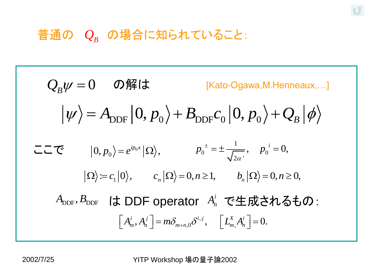#### 普通の  $Q_B$  の場合に知られていること:

$$
Q_{B}\psi = 0 \quad \text{ORF1t} \quad [\text{Kato-Ogawa}, \text{M.Henneaux}, \ldots]
$$
\n
$$
|\psi\rangle = A_{\text{DDF}}|0, p_{0}\rangle + B_{\text{DDF}}c_{0}|0, p_{0}\rangle + Q_{B}|\phi\rangle
$$
\n
$$
= \mathbf{C} \quad |0, p_{0}\rangle = e^{ip_{0}x}|0\rangle, \qquad p_{0}^{+} = \pm \frac{1}{\sqrt{2\alpha}}, \quad p_{0}^{+} = 0,
$$
\n
$$
|\Omega\rangle := c_{1}|0\rangle, \qquad c_{n}|\Omega\rangle = 0, n \ge 1, \qquad b_{n}|\Omega\rangle = 0, n \ge 0,
$$
\n
$$
A_{\text{DDF}}, B_{\text{DDF}} \quad \text{1t DDF operator} \quad A_{n}^{i} \quad \mathbf{C} \pm \mathbf{R} \mathbf{t} \mathbf{t} \mathbf{d} \mathbf{d} \mathbf{d} \mathbf{d} \mathbf{d} \mathbf{d}
$$
\n
$$
= \left[A_{m}^{i}, A_{n}^{j}\right] = m\delta_{m+n,0}\delta^{i,j}, \quad \left[L_{m}^{X}, A_{n}^{i}\right] = 0.
$$
\n2002/7/25\n
$$
= \text{YITP Workshop} \quad \text{MOP} \quad \text{MOP} \quad \text{MOP} \quad \text{MOP} \quad \text{MOP} \quad \text{MOP} \quad \text{MOP} \quad \text{MOP} \quad \text{MOP} \quad \text{MOP} \quad \text{MOP} \quad \text{MOP} \quad \text{MOP} \quad \text{MOP} \quad \text{MOP} \quad \text{MOP} \quad \text{MOP} \quad \text{MOP} \quad \text{MOP} \quad \text{MOP} \quad \text{MOP} \quad \text{MOP} \quad \text{MOP} \quad \text{MOP} \quad \text{MOP} \quad \text{MOP} \quad \text{MOP} \quad \text{MOP} \quad \text{MOP} \quad \text{MOP} \quad \text{MPO} \quad \text{MPO} \quad \text{MPO} \quad \text{MPO} \quad \text{MPO} \quad \text{MPO} \quad \text{MPO} \quad \text{MPO} \quad \text{MPO} \
$$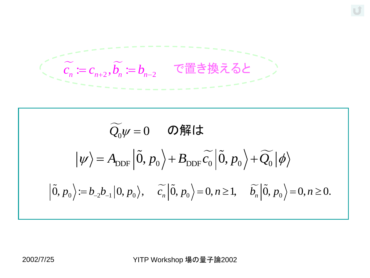$$
\widetilde{c_n} := c_{n+2}, \widetilde{b_n} := b_{n-2} \qquad \widetilde{c} \boxplus \widetilde{\Xi} \boxtimes \widetilde{c} \longrightarrow 0
$$

$$
\widetilde{Q_0}\psi = 0 \qquad \mathbf{OR} \mathbf{R} \mathbf{I} \mathbf{t}
$$
\n
$$
|\psi\rangle = A_{\text{DDF}} |\widetilde{0}, p_0\rangle + B_{\text{DDF}} \widetilde{c_0} |\widetilde{0}, p_0\rangle + \widetilde{Q_0} |\phi\rangle
$$
\n
$$
|\widetilde{0}, p_0\rangle := b_{-2}b_{-1}|0, p_0\rangle, \quad \widetilde{c_n} |\widetilde{0}, p_0\rangle = 0, n \ge 1, \quad \widetilde{b_n} |\widetilde{0}, p_0\rangle = 0, n \ge 0.
$$
\n2002/7/25\nYITP Workshop  $\frac{1}{2}$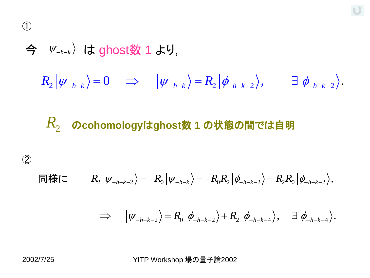[①](#page-15-0)

# 今  $|\psi_{-h-k}\rangle$  は ghost数 1 より,  $R_2 |\psi_{-h-k}\rangle = 0 \Rightarrow |\psi_{-h-k}\rangle = R_2 |\phi_{-h-k-2}\rangle, \qquad \exists |\phi_{-h-k-2}\rangle.$

### *R*2 の**cohomology**は**ghost**数 **1** の状態の間では自明

[②](#page-15-0)

$$
\Box \vec{F} = R_2 |\psi_{-h-k-2}\rangle = -R_0 |\psi_{-h-k}\rangle = -R_0 R_2 |\phi_{-h-k-2}\rangle = R_2 R_0 |\phi_{-h-k-2}\rangle,
$$

$$
\Rightarrow \quad |\psi_{-h-k-2}\rangle = R_0 |\phi_{-h-k-2}\rangle + R_2 |\phi_{-h-k-4}\rangle, \quad \exists |\phi_{-h-k-4}\rangle.
$$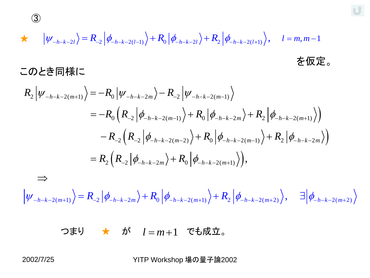[③](#page-15-0)

(3)

\n
$$
\star \quad |\psi_{-h-k-2l}\rangle = R_{-2} |\phi_{-h-k-2(l-1)}\rangle + R_0 |\phi_{-h-k-2l}\rangle + R_2 |\phi_{-h-k-2(l+1)}\rangle, \quad l = m, m-1
$$
\nを仮定。

$$
□ O L □ ★ □\n
$$
R_{2} | \psi_{-h-k-2(m+1)} \rangle = -R_{0} | \psi_{-h-k-2m} \rangle - R_{-2} | \psi_{-h-k-2(m-1)} \rangle
$$
\n
$$
= -R_{0} (R_{-2} | \phi_{-h-k-2(m-1)} \rangle + R_{0} | \phi_{-h-k-2m} \rangle + R_{2} | \phi_{-h-k-2(m+1)} \rangle)
$$
\n
$$
-R_{-2} (R_{-2} | \phi_{-h-k-2(m-2)} \rangle + R_{0} | \phi_{-h-k-2(m-1)} \rangle + R_{2} | \phi_{-h-k-2m} \rangle )
$$
\n
$$
= R_{2} (R_{-2} | \phi_{-h-k-2m} \rangle + R_{0} | \phi_{-h-k-2(m+1)} \rangle),
$$
\n
$$
⇒
$$
$$

 $\Rightarrow$ 

$$
= R_{2} (R_{-2} | \phi_{-h-k-2(m+1)} \rangle + R_{0} | \phi_{-h-k-2(m+1)} \rangle),
$$
  
\n
$$
|\psi_{-h-k-2(m+1)} \rangle = R_{-2} | \phi_{-h-k-2m} \rangle + R_{0} | \phi_{-h-k-2(m+1)} \rangle + R_{2} | \phi_{-h-k-2(m+2)} \rangle, \quad \exists |\phi_{-h-k-2(m+2)} \rangle
$$

つまり が 
$$
l=m+1
$$
でも成立。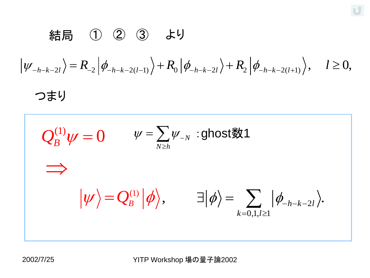$$
#E_1 \t\t (1) \t (2) \t (3) \t\t kU
$$
\n
$$
|\psi_{-h-k-2l}\rangle = R_{-2} |\phi_{-h-k-2(l-1)}\rangle + R_0 |\phi_{-h-k-2l}\rangle + R_2 |\phi_{-h-k-2(l+1)}\rangle, \t l \ge 0,
$$
\n7 $\neq$  U

★**5** (1) (2) (3) 
$$
\downarrow
$$
  $\downarrow$ 

\n
$$
|\psi_{-h-k-2l}\rangle = R_{-2} |\phi_{-h-k-2(l-1)}\rangle + R_0 |\phi_{-h-k-2l}\rangle + R_2 |\phi_{-h-k-2(l+1)}\rangle, \quad l \ge 0,
$$

\n7± $\downarrow$ 

\n
$$
Q_B^{(1)} \psi = 0 \qquad \psi = \sum_{N \ge h} \psi_{-N} : \text{ghost } M
$$

\n
$$
|\psi\rangle = Q_B^{(1)} |\phi\rangle, \qquad \exists |\phi\rangle = \sum_{k=0,1, l \ge 1} |\phi_{-h-k-2l}\rangle.
$$

\n2002/7/25 YITP Working  $\phi$  and  $\phi$  are the same.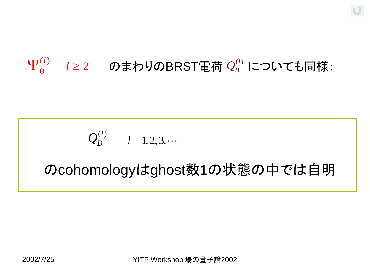#### $\overline{(\mathbf{l})}$  $\begin{array}{cc} (l) & l \geq 2 \end{array}$  $\mathbf{P}_{0}^{(l)}$  *l* ≥ 2 のまわりのBRST電荷  $Q_{B}^{(l)}$  についても同様:

$$
Q_B^{(l)} \qquad l=1,2,3,\cdots
$$

#### のcohomologyはghost数1の状態の中では自明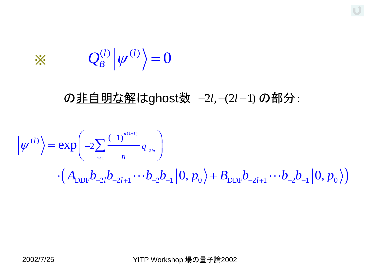$$
\mathbb{X} \qquad \mathcal{Q}_{B}^{(l)} \left| \psi^{(l)} \right\rangle = 0
$$

の非自明な解はghost数 の部分: 2 , (2 1) *l l* (1 ) 2 1 ( ) DDF 2 2 1 2 1 0 DDF 2 1 2 1 0 ( 1) exp <sup>2</sup> 0, 0, *n l ln n l l l l q n A b b b b p B b b b p*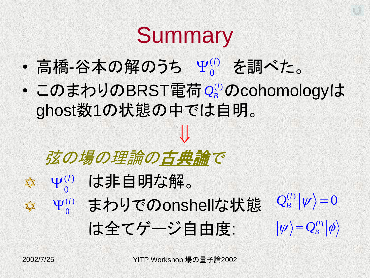# **Summary**

- 高橋-谷本の解のうち Y() を調べた。 0  $\Psi_0^{(l)}$
- •このまわりのBRST電荷 $\mathcal{Q}_{\scriptscriptstyle B}^{\scriptscriptstyle (l)}$  $\mathcal{Q}_{\scriptscriptstyle B}^{\scriptscriptstyle (l)}$  $\mathcal{Q}_{\scriptscriptstyle B}^{\scriptscriptstyle (l)}$ のcohomologyは ghost数1の状態の中では自明。

 $\bigcup$ 

## 弦の場の理論の古典論で

- $\mathcal{L}^{(l)}$  は非自明な解。  $\Psi_0^{(l)}$  $\mathbb{X}$ 0
- <span id="page-24-0"></span> $\Psi_0^{(l)}$ (1) まわりでのonshellな状態  $\mathbb{X}$  $\bf{0}$ 
	- は全てゲージ自由度:

 $\mathcal{Q}_{B}^{(l)}\left|\psi\right\rangle =0$  $\left|\psi\right\rangle =Q_{\scriptscriptstyle B}^{\scriptscriptstyle (l)}\left|\phi\right\rangle$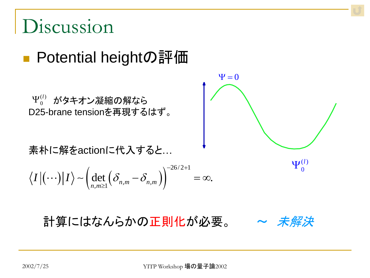## Discussion

### ■ Potential heightの評価

 $_0^{\left( l \right)}$  がタキオン凝縮の解なら D25-brane tensionを再現するはず。 0  $\Psi^{(l)}_0$ 

素朴に解をactionに代入すると...

$$
\langle I | (\cdots) | I \rangle \sim \left( \det_{n,m \geq 1} \left( \delta_{n,m} - \delta_{n,m} \right) \right)^{-26/2+1} = \infty.
$$

<span id="page-25-0"></span>計算にはなんらかの正則化が必要。 ~ 未解決

 $\Psi = 0$ 

 $\left( l\right)$  $\boldsymbol{0}$  $\Psi^{(l)}_0$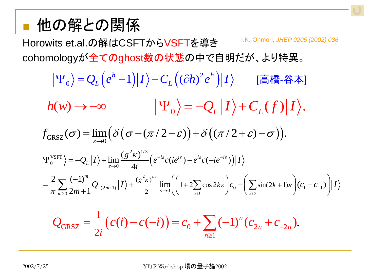### 他の解との関係

Horowits et.al.の解はCSFTからVSFTを導き I.K.-Ohmori, *JHEP 0205 (2002) 036*

cohomology 
$$
\phi^* \triangleq \mathbb{C}
$$
 Oghost数  $\mathbb{O} \vee \mathbb{C}$  éj  
\n
$$
|\Psi_0\rangle = Q_L(e^h - 1)|I\rangle - C_L((\partial h)^2 e^h)|I\rangle \qquad [\overline{a}^{\frac{1}{16}}\triangleq \overline{a}^{\frac{1}{16}}]
$$
\n
$$
h(w) \rightarrow -\infty \qquad |\Psi_0\rangle = -Q_L|I\rangle + C_L(f)|I\rangle.
$$
\n
$$
f_{GRSZ}(\sigma) = \lim_{\varepsilon \to 0} \left( \delta(\sigma - (\pi/2 - \varepsilon)) + \delta((\pi/2 + \varepsilon) - \sigma) \right).
$$
\n
$$
|\Psi_0^{\text{NST}}| = -Q_L|I\rangle + \lim_{\varepsilon \to 0} \frac{(g^2 \kappa)^{1/3}}{4i} \left( e^{-i\varepsilon} C(i e^{i\varepsilon}) - e^{i\varepsilon} C(-i e^{-i\varepsilon}) \right)|I\rangle
$$
\n
$$
= \frac{2}{\pi} \sum_{m \geq 0} \frac{(-1)^m}{2m+1} Q_{-(2m+1)}|I\rangle + \frac{(g^2 \kappa)^{1/3}}{2} \lim_{\varepsilon \to 0} \left( 1 + 2 \sum_{\varepsilon \to 0} \cos 2k\varepsilon \right) c_0 - \left( \sum_{\varepsilon \to 0} \sin(2k+1)\varepsilon \right) (c_1 - c_{-1})|I\rangle
$$
\n
$$
Q_{GRSZ} = \frac{1}{2i} \left( c(i) - c(-i) \right) = c_0 + \sum_{\varepsilon \to 0} (-1)^n (c_{2n} + c_{-2n}).
$$

<span id="page-26-0"></span>
$$
\mathcal{Q}_{GRSZ} = \frac{1}{2i} \Big( c(i) - c(-i) \Big) = c_0 + \sum_{n \ge 1} (-1)^n (c_{2n} + c_{-2n}).
$$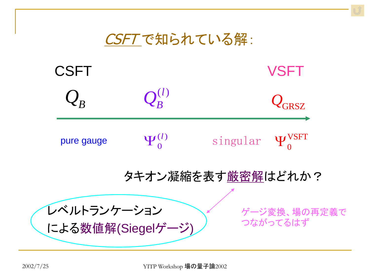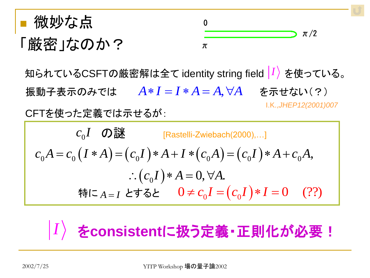

知られているCSFTの厳密解は全て identity string field  $\ket{I}$  を使っている。 振動子表示のみでは A \* I = I \* A = A, ∀A を示せない(?) CFTを使った定義では示せるが: I.K.,*JHEP12(2001)007*

[Rastelli-Zwiebach(2000),...]  $(I*A)=(c_0I)*A+I*(c_0A)=(c_0I)$  $\left( c_{0}I\right)$  $C_0 A = C_0 (I * A) = (C_0 I) * A + I * (C_0 A) = (C_0 I) * A + C_0$ ,  $(c_0 A)$ <br>0,  $\forall A$ . *c*<sub>0</sub>*I* の謎 [Rastelli-Zwiebach(2000),...]<br> $c_0 A = c_0 (I * A) = (c_0 I) * A + I * (c_0 A) = (c_0 I) * A + c_0 A$ *c*<sub>0</sub>*I* ) \* *A* + *I* \* (*c*<sub>0</sub>*A*)<br>*c*<sub>0</sub>*I* ) \* *A* = 0,  $\forall$ *A*  $c_0 I$  の謎 [Rastelli-Zwiebach(2000),...]<br>=  $c_0 (I * A) = (c_0 I) * A + I * (c_0 A) = (c_0 I) * A + c_0 A$ ,  $c_0 A = c_0 (I * A) = (c_0 I) * A + I * (c_0 A) = (c_0 I)$ <br> $\therefore (c_0 I) * A = 0, \forall A.$ 特に *A I* とすると  $(I * A) = (c_0 I) * A + I * (c_0 A) = (c_0 I) * A + c_0 A,$ <br>∴  $(c_0 I) * A = 0, \forall A.$ <br> $\exists I \subset A = I$  とすると  $0 \neq c_0 I = (c_0 I) * I = 0$  (??) *c*<sub>o</sub>*I* の謎

#### *I* を**consistent**に扱う定義・正則化が必要!